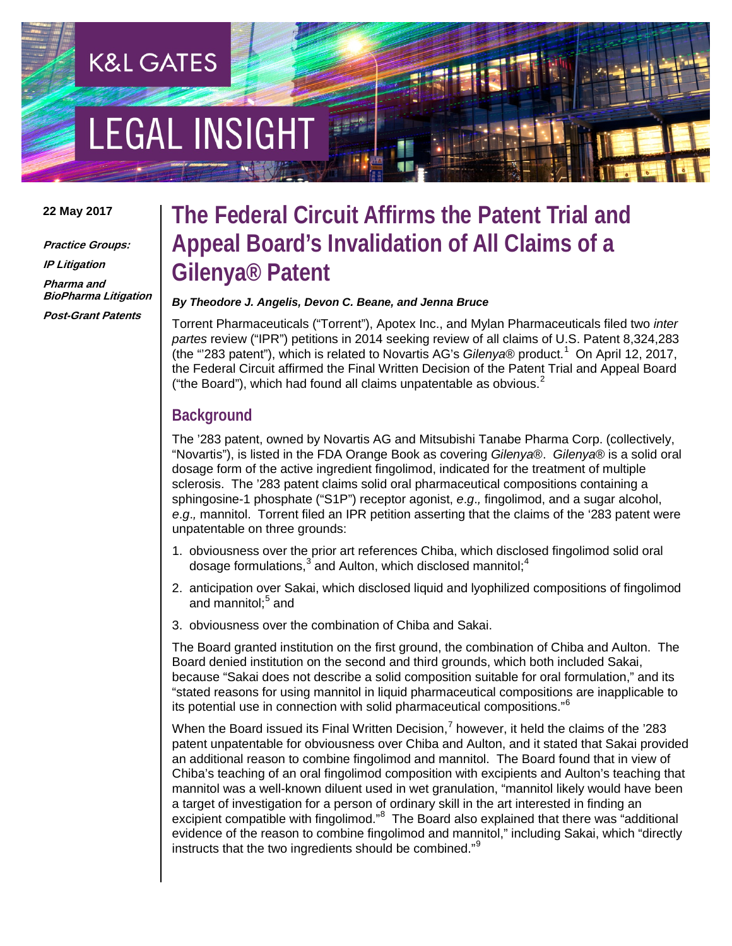# **EGAL INSIGHT**

**K&L GATES** 

## **22 May 2017**

**Practice Groups: IP Litigation Pharma and BioPharma Litigation Post-Grant Patents**

# **The Federal Circuit Affirms the Patent Trial and Appeal Board's Invalidation of All Claims of a Gilenya® Patent**

## *By Theodore J. Angelis, Devon C. Beane, and Jenna Bruce*

Torrent Pharmaceuticals ("Torrent"), Apotex Inc., and Mylan Pharmaceuticals filed two *inter partes* review ("IPR") petitions in 2014 seeking review of all claims of U.S. Patent 8,324,283 (the "283 patent"), which is related to Novartis AG's Gilenya<sup>®</sup> product.<sup>[1](#page-3-0)</sup> On April 12, 2017, the Federal Circuit affirmed the Final Written Decision of the Patent Trial and Appeal Board ("the Board"), which had found all claims unpatentable as obvious. $2^2$  $2^2$ 

# **Background**

The '283 patent, owned by Novartis AG and Mitsubishi Tanabe Pharma Corp. (collectively, "Novartis"), is listed in the FDA Orange Book as covering *Gilenya*®. *Gilenya*® is a solid oral dosage form of the active ingredient fingolimod, indicated for the treatment of multiple sclerosis. The '283 patent claims solid oral pharmaceutical compositions containing a sphingosine-1 phosphate ("S1P") receptor agonist, *e*.*g*.*,* fingolimod, and a sugar alcohol, *e*.*g*.*,* mannitol. Torrent filed an IPR petition asserting that the claims of the '283 patent were unpatentable on three grounds:

- 1. obviousness over the prior art references Chiba, which disclosed fingolimod solid oral dosage formulations, $3$  and Aulton, which disclosed mannitol; $4$
- 2. anticipation over Sakai, which disclosed liquid and lyophilized compositions of fingolimod and mannitol: $5$  and
- 3. obviousness over the combination of Chiba and Sakai.

The Board granted institution on the first ground, the combination of Chiba and Aulton. The Board denied institution on the second and third grounds, which both included Sakai, because "Sakai does not describe a solid composition suitable for oral formulation," and its "stated reasons for using mannitol in liquid pharmaceutical compositions are inapplicable to its potential use in connection with solid pharmaceutical compositions."[6](#page-3-5)

When the Board issued its Final Written Decision,<sup>[7](#page-3-6)</sup> however, it held the claims of the '283 patent unpatentable for obviousness over Chiba and Aulton, and it stated that Sakai provided an additional reason to combine fingolimod and mannitol. The Board found that in view of Chiba's teaching of an oral fingolimod composition with excipients and Aulton's teaching that mannitol was a well-known diluent used in wet granulation, "mannitol likely would have been a target of investigation for a person of ordinary skill in the art interested in finding an excipient compatible with fingolimod."<sup>[8](#page-3-7)</sup> The Board also explained that there was "additional evidence of the reason to combine fingolimod and mannitol," including Sakai, which "directly instructs that the two ingredients should be combined."[9](#page-3-8)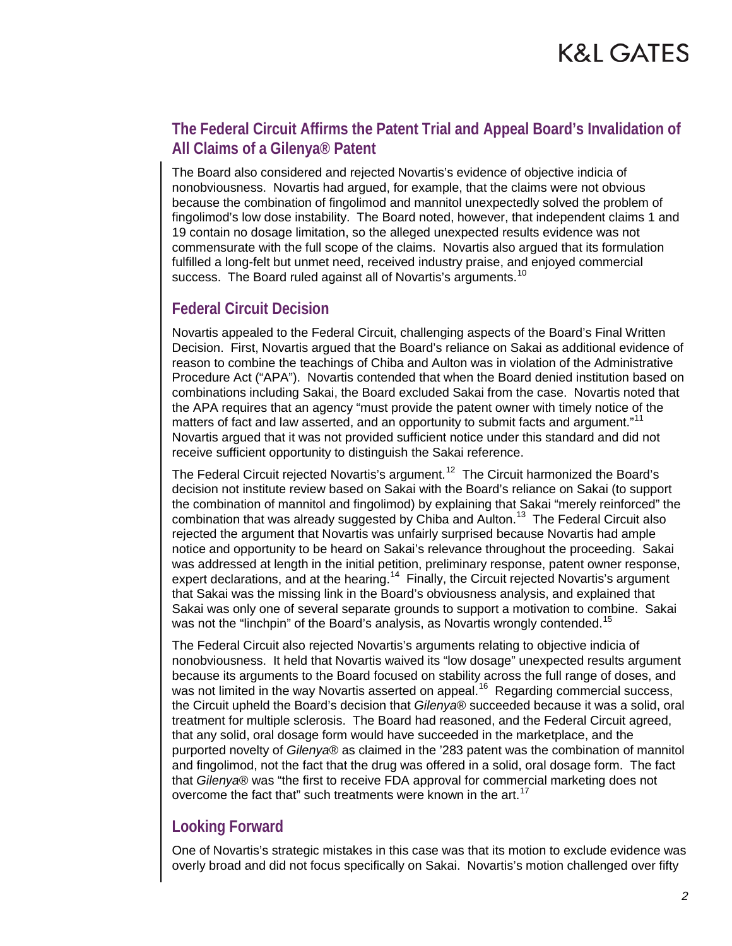# **The Federal Circuit Affirms the Patent Trial and Appeal Board's Invalidation of All Claims of a Gilenya® Patent**

The Board also considered and rejected Novartis's evidence of objective indicia of nonobviousness. Novartis had argued, for example, that the claims were not obvious because the combination of fingolimod and mannitol unexpectedly solved the problem of fingolimod's low dose instability. The Board noted, however, that independent claims 1 and 19 contain no dosage limitation, so the alleged unexpected results evidence was not commensurate with the full scope of the claims. Novartis also argued that its formulation fulfilled a long-felt but unmet need, received industry praise, and enjoyed commercial success. The Board ruled against all of Novartis's arguments.<sup>[10](#page-3-9)</sup>

## **Federal Circuit Decision**

Novartis appealed to the Federal Circuit, challenging aspects of the Board's Final Written Decision. First, Novartis argued that the Board's reliance on Sakai as additional evidence of reason to combine the teachings of Chiba and Aulton was in violation of the Administrative Procedure Act ("APA"). Novartis contended that when the Board denied institution based on combinations including Sakai, the Board excluded Sakai from the case. Novartis noted that the APA requires that an agency "must provide the patent owner with timely notice of the matters of fact and law asserted, and an opportunity to submit facts and argument."<sup>11</sup> Novartis argued that it was not provided sufficient notice under this standard and did not receive sufficient opportunity to distinguish the Sakai reference.

The Federal Circuit rejected Novartis's argument.<sup>12</sup> The Circuit harmonized the Board's decision not institute review based on Sakai with the Board's reliance on Sakai (to support the combination of mannitol and fingolimod) by explaining that Sakai "merely reinforced" the combination that was already suggested by Chiba and Aulton.<sup>13</sup> The Federal Circuit also rejected the argument that Novartis was unfairly surprised because Novartis had ample notice and opportunity to be heard on Sakai's relevance throughout the proceeding. Sakai was addressed at length in the initial petition, preliminary response, patent owner response, expert declarations, and at the hearing.<sup>[14](#page-3-13)</sup> Finally, the Circuit rejected Novartis's argument that Sakai was the missing link in the Board's obviousness analysis, and explained that Sakai was only one of several separate grounds to support a motivation to combine. Sakai was not the "linchpin" of the Board's analysis, as Novartis wrongly contended.<sup>[15](#page-3-14)</sup>

The Federal Circuit also rejected Novartis's arguments relating to objective indicia of nonobviousness. It held that Novartis waived its "low dosage" unexpected results argument because its arguments to the Board focused on stability across the full range of doses, and was not limited in the way Novartis asserted on appeal.<sup>[16](#page-3-15)</sup> Regarding commercial success, the Circuit upheld the Board's decision that *Gilenya*® succeeded because it was a solid, oral treatment for multiple sclerosis. The Board had reasoned, and the Federal Circuit agreed, that any solid, oral dosage form would have succeeded in the marketplace, and the purported novelty of *Gilenya*® as claimed in the '283 patent was the combination of mannitol and fingolimod, not the fact that the drug was offered in a solid, oral dosage form. The fact that *Gilenya*® was "the first to receive FDA approval for commercial marketing does not overcome the fact that" such treatments were known in the art.<sup>[17](#page-3-16)</sup>

# **Looking Forward**

One of Novartis's strategic mistakes in this case was that its motion to exclude evidence was overly broad and did not focus specifically on Sakai. Novartis's motion challenged over fifty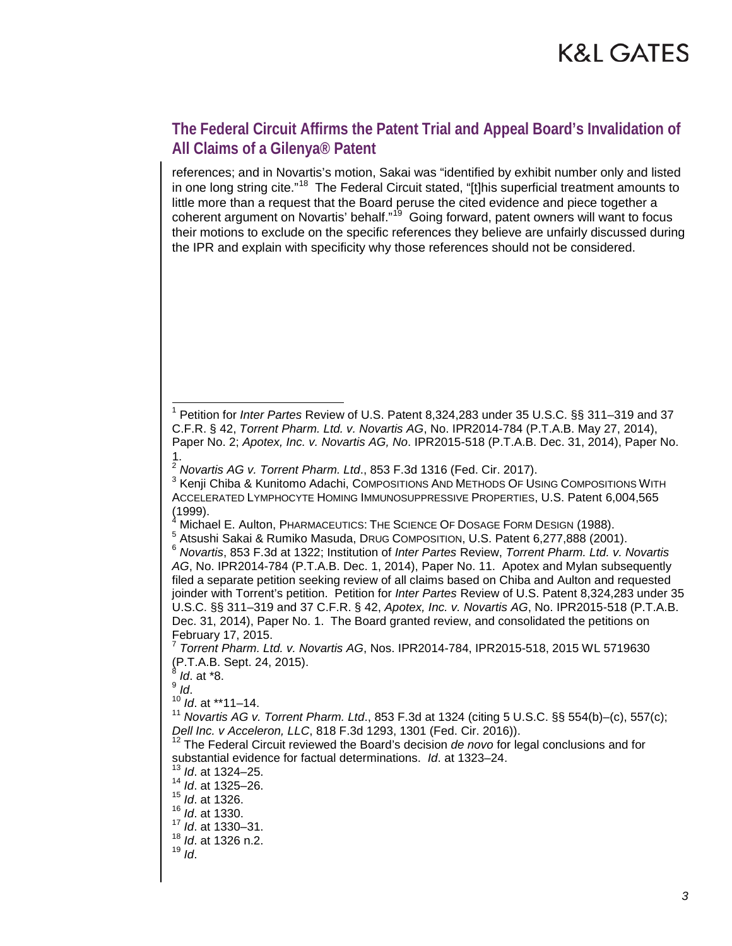# **The Federal Circuit Affirms the Patent Trial and Appeal Board's Invalidation of All Claims of a Gilenya® Patent**

references; and in Novartis's motion, Sakai was "identified by exhibit number only and listed in one long string cite."<sup>18</sup> The Federal Circuit stated, "[t]his superficial treatment amounts to little more than a request that the Board peruse the cited evidence and piece together a coherent argument on Novartis' behalf."<sup>19</sup> Going forward, patent owners will want to focus their motions to exclude on the specific references they believe are unfairly discussed during the IPR and explain with specificity why those references should not be considered.

 <sup>1</sup> Petition for *Inter Partes* Review of U.S. Patent 8,324,283 under 35 U.S.C. §§ 311–319 and <sup>37</sup> C.F.R. § 42, *Torrent Pharm. Ltd. v. Novartis AG*, No. IPR2014-784 (P.T.A.B. May 27, 2014), Paper No. 2; *Apotex, Inc. v. Novartis AG, No*. IPR2015-518 (P.T.A.B. Dec. 31, 2014), Paper No.

<sup>&</sup>lt;sup>2</sup> Novartis AG v. Torrent Pharm. Ltd., 853 F.3d 1316 (Fed. Cir. 2017).

<sup>&</sup>lt;sup>3</sup> Kenii Chiba & Kunitomo Adachi, Compositions And METHODS OF Using Compositions With ACCELERATED LYMPHOCYTE HOMING IMMUNOSUPPRESSIVE PROPERTIES, U.S. Patent 6,004,565 (1999).<br><sup>4</sup> Michael E. Aulton, PHARMACEUTICS: THE SCIENCE OF DOSAGE FORM DESIGN (1988).

<sup>6</sup> Atsushi Sakai & Rumiko Masuda, DRUG COMPOSITION, U.S. Patent 6,277,888 (2001).<br><sup>6</sup> Novartis, 853 F.3d at 1322; Institution of *Inter Partes* Review, *Torrent Pharm. Ltd. v. Novartis AG*, No. IPR2014-784 (P.T.A.B. Dec. 1, 2014), Paper No. 11. Apotex and Mylan subsequently filed a separate petition seeking review of all claims based on Chiba and Aulton and requested joinder with Torrent's petition. Petition for *Inter Partes* Review of U.S. Patent 8,324,283 under 35 U.S.C. §§ 311–319 and 37 C.F.R. § 42, *Apotex, Inc. v. Novartis AG*, No. IPR2015-518 (P.T.A.B. Dec. 31, 2014), Paper No. 1. The Board granted review, and consolidated the petitions on February 17, 2015.

<sup>7</sup> *Torrent Pharm. Ltd. v. Novartis AG*, Nos. IPR2014-784, IPR2015-518, 2015 WL 5719630 (P.T.A.B. Sept. 24, 2015). <sup>8</sup> *Id*. at \*8.

<sup>&</sup>lt;sup>10</sup> *Id.* at \*\*11–14.

<sup>11</sup> *Novartis AG v. Torrent Pharm. Ltd*., 853 F.3d at 1324 (citing 5 U.S.C. §§ 554(b)–(c), 557(c);

<sup>&</sup>lt;sup>12</sup> The Federal Circuit reviewed the Board's decision *de novo* for legal conclusions and for substantial evidence for factual determinations. *Id*. at 1323–24.

<sup>13</sup> *Id*. at 1324–25.

<sup>14</sup> *Id*. at 1325–26.

<sup>15</sup> *Id*. at 1326.

<sup>16</sup> *Id*. at 1330.

<sup>17</sup> *Id*. at 1330–31.

<sup>18</sup> *Id*. at 1326 n.2. <sup>19</sup> *Id*.